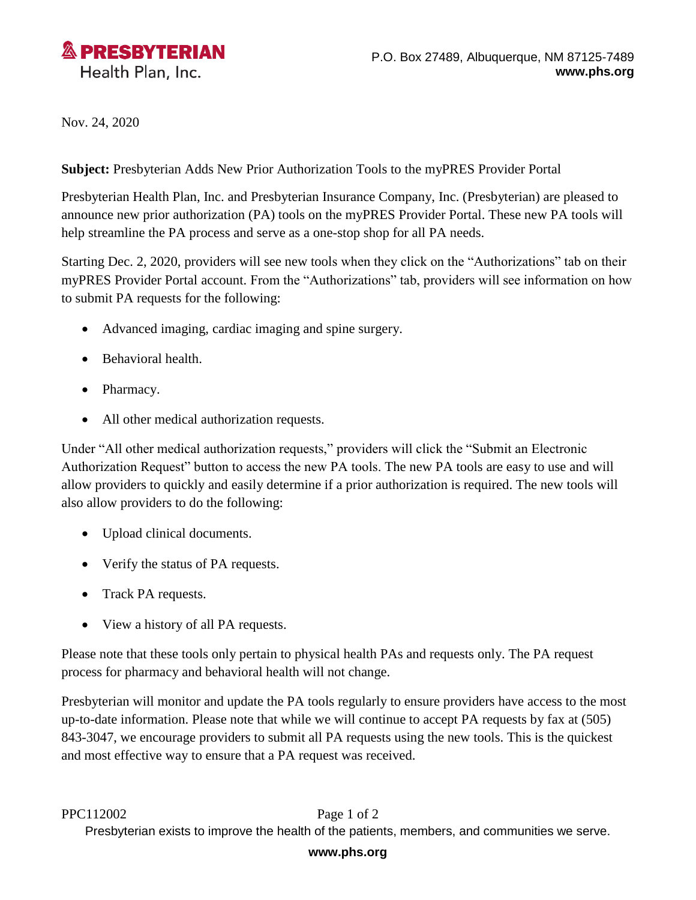

Nov. 24, 2020

**Subject:** Presbyterian Adds New Prior Authorization Tools to the myPRES Provider Portal

Presbyterian Health Plan, Inc. and Presbyterian Insurance Company, Inc. (Presbyterian) are pleased to announce new prior authorization (PA) tools on the myPRES Provider Portal. These new PA tools will help streamline the PA process and serve as a one-stop shop for all PA needs.

Starting Dec. 2, 2020, providers will see new tools when they click on the "Authorizations" tab on their myPRES Provider Portal account. From the "Authorizations" tab, providers will see information on how to submit PA requests for the following:

- Advanced imaging, cardiac imaging and spine surgery.
- Behavioral health.
- Pharmacy.
- All other medical authorization requests.

Under "All other medical authorization requests," providers will click the "Submit an Electronic Authorization Request" button to access the new PA tools. The new PA tools are easy to use and will allow providers to quickly and easily determine if a prior authorization is required. The new tools will also allow providers to do the following:

- Upload clinical documents.
- Verify the status of PA requests.
- Track PA requests.
- View a history of all PA requests.

Please note that these tools only pertain to physical health PAs and requests only. The PA request process for pharmacy and behavioral health will not change.

Presbyterian will monitor and update the PA tools regularly to ensure providers have access to the most up-to-date information. Please note that while we will continue to accept PA requests by fax at (505) 843-3047, we encourage providers to submit all PA requests using the new tools. This is the quickest and most effective way to ensure that a PA request was received.

## PPC112002 Page 1 of 2

Presbyterian exists to improve the health of the patients, members, and communities we serve.

## **www.phs.org**